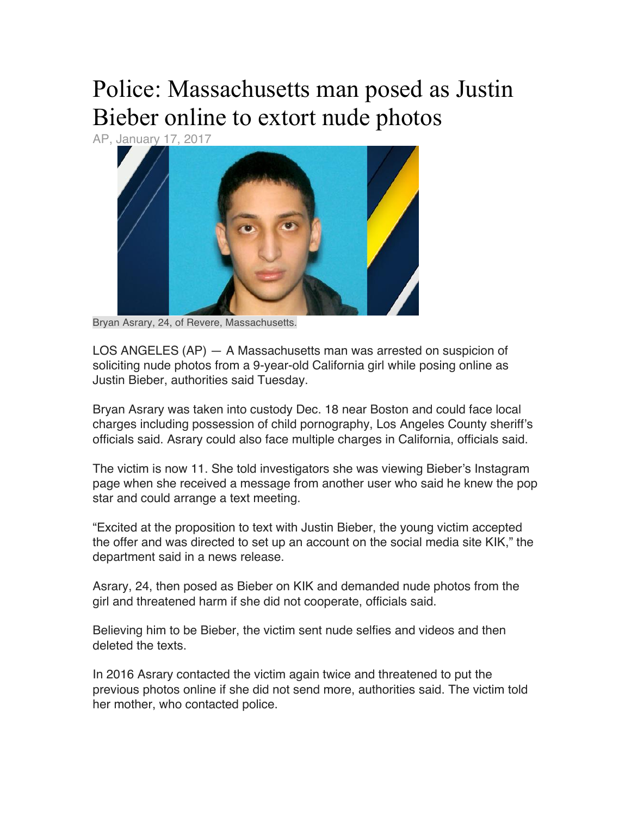## Police: Massachusetts man posed as Justin Bieber online to extort nude photos

AP, January 17, 2017



Bryan Asrary, 24, of Revere, Massachusetts.

LOS ANGELES (AP) — A Massachusetts man was arrested on suspicion of soliciting nude photos from a 9-year-old California girl while posing online as Justin Bieber, authorities said Tuesday.

Bryan Asrary was taken into custody Dec. 18 near Boston and could face local charges including possession of child pornography, Los Angeles County sheriff's officials said. Asrary could also face multiple charges in California, officials said.

The victim is now 11. She told investigators she was viewing Bieber's Instagram page when she received a message from another user who said he knew the pop star and could arrange a text meeting.

"Excited at the proposition to text with Justin Bieber, the young victim accepted the offer and was directed to set up an account on the social media site KIK," the department said in a news release.

Asrary, 24, then posed as Bieber on KIK and demanded nude photos from the girl and threatened harm if she did not cooperate, officials said.

Believing him to be Bieber, the victim sent nude selfies and videos and then deleted the texts.

In 2016 Asrary contacted the victim again twice and threatened to put the previous photos online if she did not send more, authorities said. The victim told her mother, who contacted police.